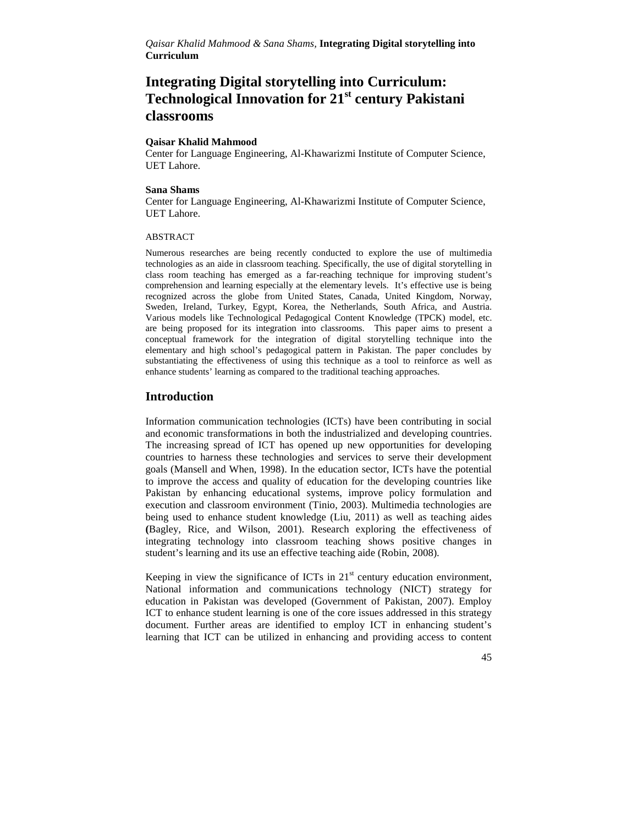# **Integrating Digital storytelling into Curriculum: Technological Innovation for 21st century Pakistani classrooms**

#### **Qaisar Khalid Mahmood**

Center for Language Engineering, Al-Khawarizmi Institute of Computer Science, UET Lahore.

#### **Sana Shams**

Center for Language Engineering, Al-Khawarizmi Institute of Computer Science, UET Lahore.

#### ABSTRACT

Numerous researches are being recently conducted to explore the use of multimedia technologies as an aide in classroom teaching. Specifically, the use of digital storytelling in class room teaching has emerged as a far-reaching technique for improving student's comprehension and learning especially at the elementary levels. It's effective use is being recognized across the globe from United States, Canada, United Kingdom, Norway, Sweden, Ireland, Turkey, Egypt, Korea, the Netherlands, South Africa, and Austria. Various models like Technological Pedagogical Content Knowledge (TPCK) model, etc. are being proposed for its integration into classrooms. This paper aims to present a conceptual framework for the integration of digital storytelling technique into the elementary and high school's pedagogical pattern in Pakistan. The paper concludes by substantiating the effectiveness of using this technique as a tool to reinforce as well as enhance students' learning as compared to the traditional teaching approaches.

### **Introduction**

Information communication technologies (ICTs) have been contributing in social and economic transformations in both the industrialized and developing countries. The increasing spread of ICT has opened up new opportunities for developing countries to harness these technologies and services to serve their development goals (Mansell and When, 1998). In the education sector, ICTs have the potential to improve the access and quality of education for the developing countries like Pakistan by enhancing educational systems, improve policy formulation and execution and classroom environment (Tinio, 2003). Multimedia technologies are being used to enhance student knowledge (Liu, 2011) as well as teaching aides **(**Bagley, Rice, and Wilson, 2001). Research exploring the effectiveness of integrating technology into classroom teaching shows positive changes in student's learning and its use an effective teaching aide (Robin, 2008).

Keeping in view the significance of ICTs in  $21<sup>st</sup>$  century education environment, National information and communications technology (NICT) strategy for education in Pakistan was developed (Government of Pakistan, 2007). Employ ICT to enhance student learning is one of the core issues addressed in this strategy document. Further areas are identified to employ ICT in enhancing student's learning that ICT can be utilized in enhancing and providing access to content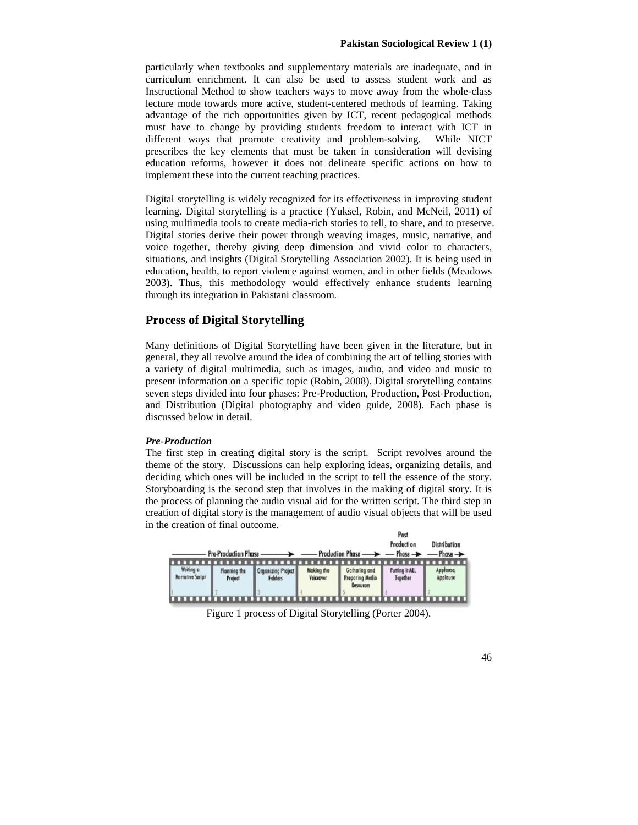particularly when textbooks and supplementary materials are inadequate, and in curriculum enrichment. It can also be used to assess student work and as Instructional Method to show teachers ways to move away from the whole-class lecture mode towards more active, student-centered methods of learning. Taking advantage of the rich opportunities given by ICT, recent pedagogical methods must have to change by providing students freedom to interact with ICT in different ways that promote creativity and problem-solving. While NICT prescribes the key elements that must be taken in consideration will devising education reforms, however it does not delineate specific actions on how to implement these into the current teaching practices.

Digital storytelling is widely recognized for its effectiveness in improving student learning. Digital storytelling is a practice (Yuksel, Robin, and McNeil, 2011) of using multimedia tools to create media-rich stories to tell, to share, and to preserve. Digital stories derive their power through weaving images, music, narrative, and voice together, thereby giving deep dimension and vivid color to characters, situations, and insights (Digital Storytelling Association 2002). It is being used in education, health, to report violence against women, and in other fields (Meadows 2003). Thus, this methodology would effectively enhance students learning through its integration in Pakistani classroom.

# **Process of Digital Storytelling**

Many definitions of Digital Storytelling have been given in the literature, but in general, they all revolve around the idea of combining the art of telling stories with a variety of digital multimedia, such as images, audio, and video and music to present information on a specific topic (Robin, 2008). Digital storytelling contains seven steps divided into four phases: Pre-Production, Production, Post-Production, and Distribution (Digital photography and video guide, 2008). Each phase is discussed below in detail.

#### *Pre-Production*

The first step in creating digital story is the script. Script revolves around the theme of the story. Discussions can help exploring ideas, organizing details, and deciding which ones will be included in the script to tell the essence of the story. Storyboarding is the second step that involves in the making of digital story. It is the process of planning the audio visual aid for the written script. The third step in creation of digital story is the management of audio visual objects that will be used in the creation of final outcome. s.

|                                      |                         |                                             |                         | $-$ Pre-Production Phase $\longrightarrow$ $-$ Production Phase $\longrightarrow$ $-$ Phase $\longrightarrow$ Phase $\longrightarrow$ | <b>rosi</b><br>Production         | Distribution |
|--------------------------------------|-------------------------|---------------------------------------------|-------------------------|---------------------------------------------------------------------------------------------------------------------------------------|-----------------------------------|--------------|
| Writing o<br><b>Norrative Script</b> | Planning the<br>Project | <b>Organizing Project</b><br><b>Folders</b> | Making the<br>Voiceover | Gathering and<br>Preparing Media<br><b>Resources</b>                                                                                  | <b>Putting it ALL</b><br>Together | Applause     |

Figure 1 process of Digital Storytelling (Porter 2004).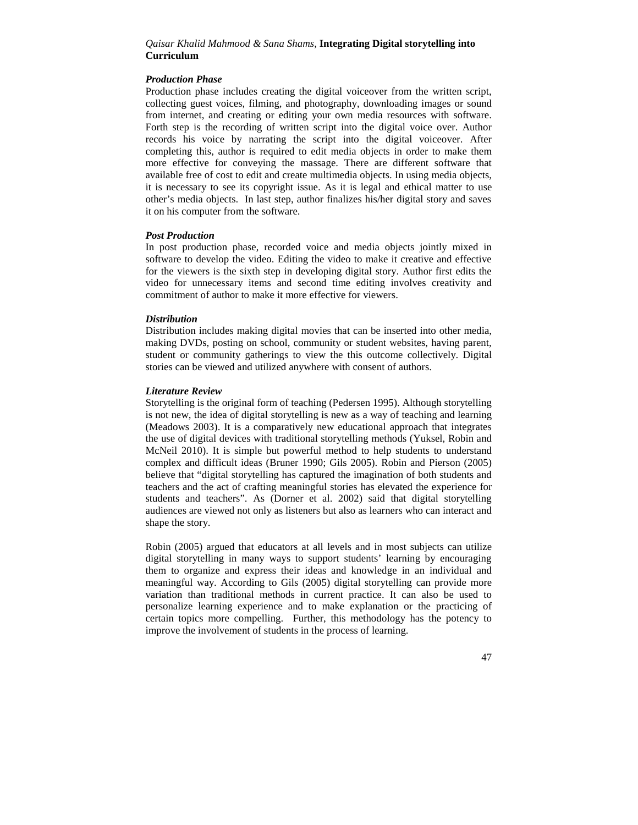#### *Production Phase*

Production phase includes creating the digital voiceover from the written script, collecting guest voices, filming, and photography, downloading images or sound from internet, and creating or editing your own media resources with software. Forth step is the recording of written script into the digital voice over. Author records his voice by narrating the script into the digital voiceover. After completing this, author is required to edit media objects in order to make them more effective for conveying the massage. There are different software that available free of cost to edit and create multimedia objects. In using media objects, it is necessary to see its copyright issue. As it is legal and ethical matter to use other's media objects. In last step, author finalizes his/her digital story and saves it on his computer from the software.

# *Post Production*

In post production phase, recorded voice and media objects jointly mixed in software to develop the video. Editing the video to make it creative and effective for the viewers is the sixth step in developing digital story. Author first edits the video for unnecessary items and second time editing involves creativity and commitment of author to make it more effective for viewers.

#### *Distribution*

Distribution includes making digital movies that can be inserted into other media, making DVDs, posting on school, community or student websites, having parent, student or community gatherings to view the this outcome collectively. Digital stories can be viewed and utilized anywhere with consent of authors.

#### *Literature Review*

Storytelling is the original form of teaching (Pedersen 1995). Although storytelling is not new, the idea of digital storytelling is new as a way of teaching and learning (Meadows 2003). It is a comparatively new educational approach that integrates the use of digital devices with traditional storytelling methods (Yuksel, Robin and McNeil 2010). It is simple but powerful method to help students to understand complex and difficult ideas (Bruner 1990; Gils 2005). Robin and Pierson (2005) believe that "digital storytelling has captured the imagination of both students and teachers and the act of crafting meaningful stories has elevated the experience for students and teachers". As (Dorner et al. 2002) said that digital storytelling audiences are viewed not only as listeners but also as learners who can interact and shape the story.

Robin (2005) argued that educators at all levels and in most subjects can utilize digital storytelling in many ways to support students' learning by encouraging them to organize and express their ideas and knowledge in an individual and meaningful way. According to Gils (2005) digital storytelling can provide more variation than traditional methods in current practice. It can also be used to personalize learning experience and to make explanation or the practicing of certain topics more compelling. Further, this methodology has the potency to improve the involvement of students in the process of learning.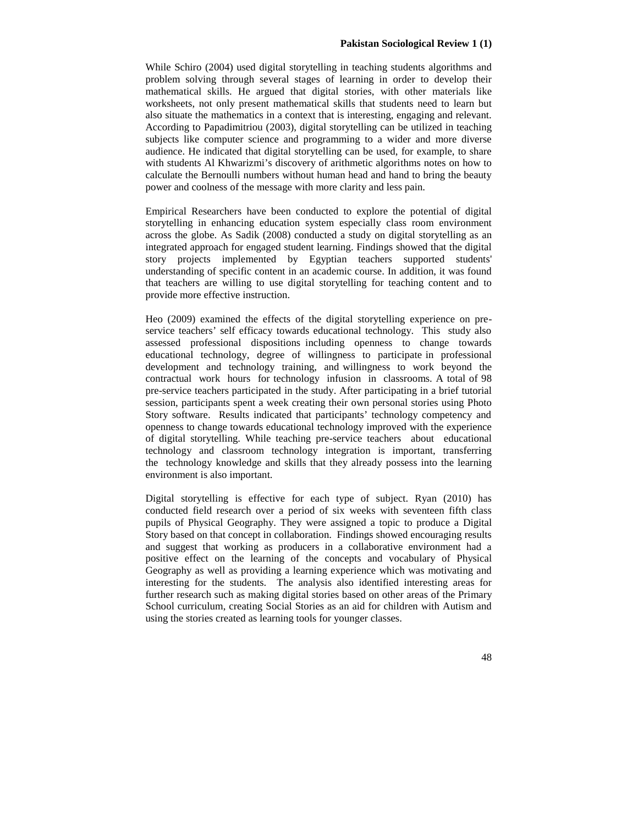While Schiro (2004) used digital storytelling in teaching students algorithms and problem solving through several stages of learning in order to develop their mathematical skills. He argued that digital stories, with other materials like worksheets, not only present mathematical skills that students need to learn but also situate the mathematics in a context that is interesting, engaging and relevant. According to Papadimitriou (2003), digital storytelling can be utilized in teaching subjects like computer science and programming to a wider and more diverse audience. He indicated that digital storytelling can be used, for example, to share with students Al Khwarizmi's discovery of arithmetic algorithms notes on how to calculate the Bernoulli numbers without human head and hand to bring the beauty power and coolness of the message with more clarity and less pain.

Empirical Researchers have been conducted to explore the potential of digital storytelling in enhancing education system especially class room environment across the globe. As Sadik (2008) conducted a study on digital storytelling as an integrated approach for engaged student learning. Findings showed that the digital story projects implemented by Egyptian teachers supported students' understanding of specific content in an academic course. In addition, it was found that teachers are willing to use digital storytelling for teaching content and to provide more effective instruction.

Heo (2009) examined the effects of the digital storytelling experience on pre service teachers' self efficacy towards educational technology. This study also assessed professional dispositions including openness to change towards educational technology, degree of willingness to participate in professional development and technology training, and willingness to work beyond the contractual work hours for technology infusion in classrooms. A total of 98 pre-service teachers participated in the study. After participating in a brief tutorial session, participants spent a week creating their own personal stories using Photo Story software. Results indicated that participants' technology competency and openness to change towards educational technology improved with the experience of digital storytelling. While teaching pre-service teachers about educational technology and classroom technology integration is important, transferring the technology knowledge and skills that they already possess into the learning environment is also important.

Digital storytelling is effective for each type of subject. Ryan (2010) has conducted field research over a period of six weeks with seventeen fifth class pupils of Physical Geography. They were assigned a topic to produce a Digital Story based on that concept in collaboration. Findings showed encouraging results and suggest that working as producers in a collaborative environment had a positive effect on the learning of the concepts and vocabulary of Physical Geography as well as providing a learning experience which was motivating and interesting for the students. The analysis also identified interesting areas for further research such as making digital stories based on other areas of the Primary School curriculum, creating Social Stories as an aid for children with Autism and using the stories created as learning tools for younger classes.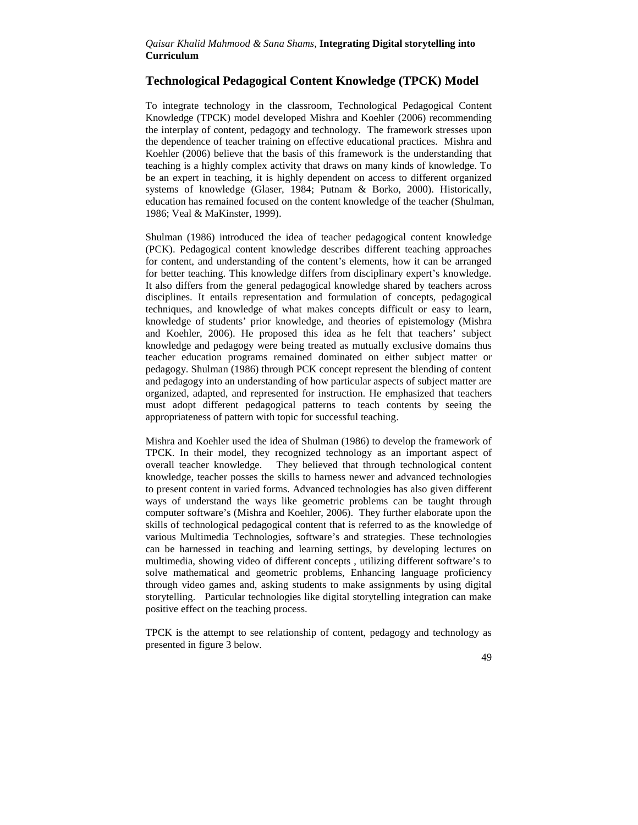# **Technological Pedagogical Content Knowledge (TPCK) Model**

To integrate technology in the classroom, Technological Pedagogical Content Knowledge (TPCK) model developed Mishra and Koehler (2006) recommending the interplay of content, pedagogy and technology. The framework stresses upon the dependence of teacher training on effective educational practices. Mishra and Koehler (2006) believe that the basis of this framework is the understanding that teaching is a highly complex activity that draws on many kinds of knowledge. To be an expert in teaching, it is highly dependent on access to different organized systems of knowledge (Glaser, 1984; Putnam & Borko, 2000). Historically, education has remained focused on the content knowledge of the teacher (Shulman, 1986; Veal & MaKinster, 1999).

Shulman (1986) introduced the idea of teacher pedagogical content knowledge (PCK). Pedagogical content knowledge describes different teaching approaches for content, and understanding of the content's elements, how it can be arranged for better teaching. This knowledge differs from disciplinary expert's knowledge. It also differs from the general pedagogical knowledge shared by teachers across disciplines. It entails representation and formulation of concepts, pedagogical techniques, and knowledge of what makes concepts difficult or easy to learn, knowledge of students' prior knowledge, and theories of epistemology (Mishra and Koehler, 2006). He proposed this idea as he felt that teachers' subject knowledge and pedagogy were being treated as mutually exclusive domains thus teacher education programs remained dominated on either subject matter or pedagogy. Shulman (1986) through PCK concept represent the blending of content and pedagogy into an understanding of how particular aspects of subject matter are organized, adapted, and represented for instruction. He emphasized that teachers must adopt different pedagogical patterns to teach contents by seeing the appropriateness of pattern with topic for successful teaching.

Mishra and Koehler used the idea of Shulman (1986) to develop the framework of TPCK. In their model, they recognized technology as an important aspect of overall teacher knowledge. They believed that through technological content knowledge, teacher posses the skills to harness newer and advanced technologies to present content in varied forms. Advanced technologies has also given different ways of understand the ways like geometric problems can be taught through computer software's (Mishra and Koehler, 2006). They further elaborate upon the skills of technological pedagogical content that is referred to as the knowledge of various Multimedia Technologies, software's and strategies. These technologies can be harnessed in teaching and learning settings, by developing lectures on multimedia, showing video of different concepts , utilizing different software's to solve mathematical and geometric problems, Enhancing language proficiency through video games and, asking students to make assignments by using digital storytelling. Particular technologies like digital storytelling integration can make positive effect on the teaching process.

TPCK is the attempt to see relationship of content, pedagogy and technology as presented in figure 3 below.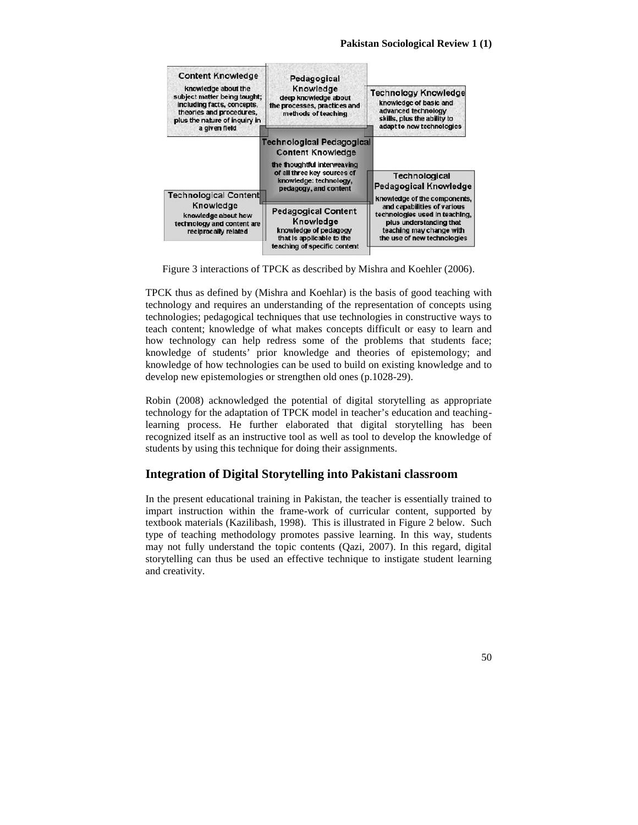

Figure 3 interactions of TPCK as described by Mishra and Koehler (2006).

TPCK thus as defined by (Mishra and Koehlar) is the basis of good teaching with technology and requires an understanding of the representation of concepts using technologies; pedagogical techniques that use technologies in constructive ways to teach content; knowledge of what makes concepts difficult or easy to learn and how technology can help redress some of the problems that students face; knowledge of students' prior knowledge and theories of epistemology; and knowledge of how technologies can be used to build on existing knowledge and to develop new epistemologies or strengthen old ones (p.1028-29).

Robin (2008) acknowledged the potential of digital storytelling as appropriate technology for the adaptation of TPCK model in teacher's education and teachinglearning process. He further elaborated that digital storytelling has been recognized itself as an instructive tool as well as tool to develop the knowledge of students by using this technique for doing their assignments.

# **Integration of Digital Storytelling into Pakistani classroom**

In the present educational training in Pakistan, the teacher is essentially trained to impart instruction within the frame-work of curricular content, supported by textbook materials (Kazilibash, 1998). This is illustrated in Figure 2 below. Such type of teaching methodology promotes passive learning. In this way, students may not fully understand the topic contents (Qazi, 2007). In this regard, digital storytelling can thus be used an effective technique to instigate student learning and creativity.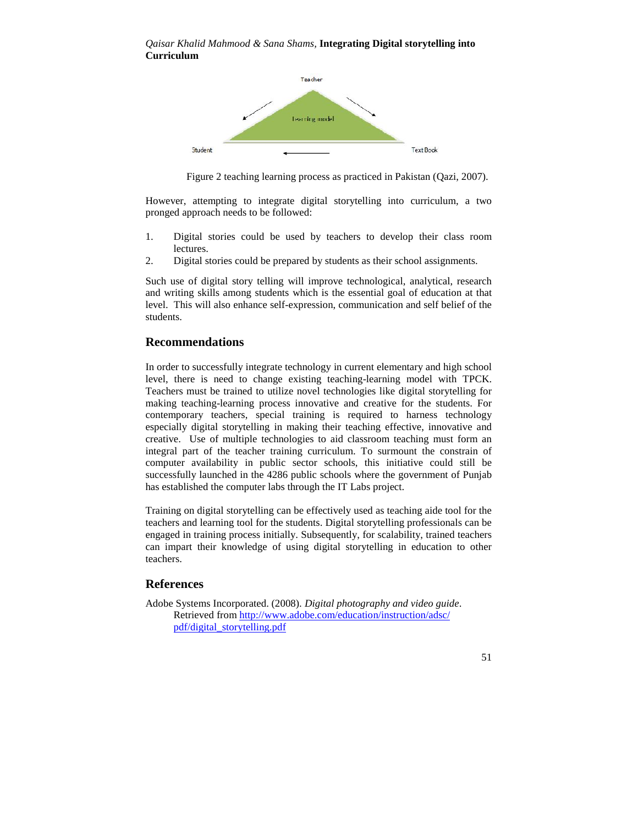

Figure 2 teaching learning process as practiced in Pakistan (Qazi, 2007).

However, attempting to integrate digital storytelling into curriculum, a two pronged approach needs to be followed:

- 1. Digital stories could be used by teachers to develop their class room lectures.
- 2. Digital stories could be prepared by students as their school assignments.

Such use of digital story telling will improve technological, analytical, research and writing skills among students which is the essential goal of education at that level. This will also enhance self-expression, communication and self belief of the students.

# **Recommendations**

In order to successfully integrate technology in current elementary and high school level, there is need to change existing teaching-learning model with TPCK. Teachers must be trained to utilize novel technologies like digital storytelling for making teaching-learning process innovative and creative for the students. For contemporary teachers, special training is required to harness technology especially digital storytelling in making their teaching effective, innovative and creative. Use of multiple technologies to aid classroom teaching must form an integral part of the teacher training curriculum. To surmount the constrain of computer availability in public sector schools, this initiative could still be successfully launched in the 4286 public schools where the government of Punjab has established the computer labs through the IT Labs project.

Training on digital storytelling can be effectively used as teaching aide tool for the teachers and learning tool for the students. Digital storytelling professionals can be engaged in training process initially. Subsequently, for scalability, trained teachers can impart their knowledge of using digital storytelling in education to other teachers.

# **References**

Adobe Systems Incorporated. (2008). *Digital photography and video guide*. Retrieved from http://www.adobe.com/education/instruction/adsc/ pdf/digital\_storytelling.pdf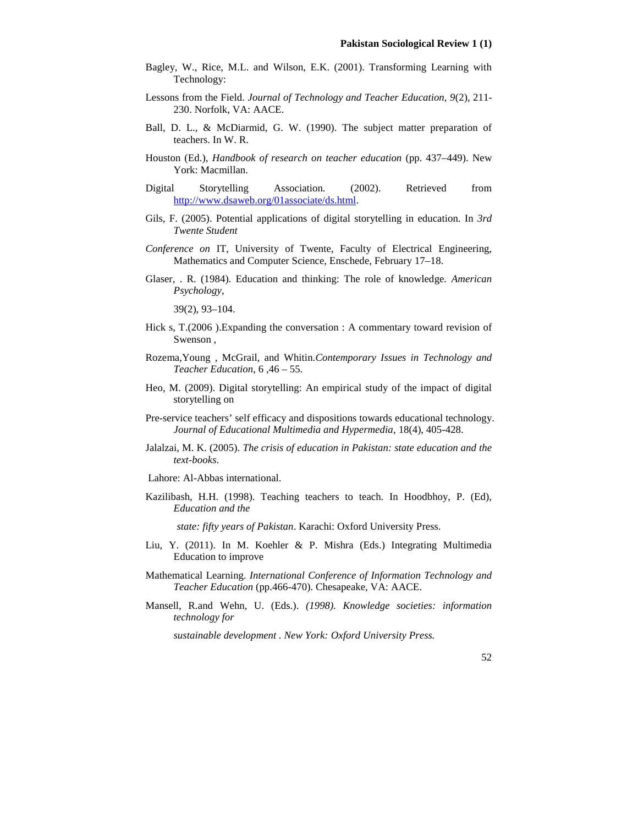- Bagley, W., Rice, M.L. and Wilson, E.K. (2001). Transforming Learning with Technology:
- Lessons from the Field. *Journal of Technology and Teacher Education, 9*(2), 211- 230. Norfolk, VA: AACE.
- Ball, D. L., & McDiarmid, G. W. (1990). The subject matter preparation of teachers. In W. R.
- Houston (Ed.), *Handbook of research on teacher education* (pp. 437–449). New York: Macmillan.
- Digital Storytelling Association. (2002). Retrieved from http://www.dsaweb.org/01associate/ds.html.
- Gils, F. (2005). Potential applications of digital storytelling in education. In *3rd Twente Student*
- *Conference on* IT, University of Twente, Faculty of Electrical Engineering, Mathematics and Computer Science, Enschede, February 17–18.
- Glaser, . R. (1984). Education and thinking: The role of knowledge. *American Psychology*,

39(2), 93–104.

- Hick s, T.(2006). Expanding the conversation : A commentary toward revision of Swenson ,
- Rozema,Young , McGrail, and Whitin.*Contemporary Issues in Technology and Teacher Education*, 6 ,46 – 55.
- Heo, M. (2009). Digital storytelling: An empirical study of the impact of digital storytelling on
- Pre-service teachers' self efficacy and dispositions towards educational technology. *Journal of Educational Multimedia and Hypermedia*, 18(4), 405-428.
- Jalalzai, M. K. (2005). *The crisis of education in Pakistan: state education and the text-books*.

Lahore: Al-Abbas international.

Kazilibash, H.H. (1998). Teaching teachers to teach. In Hoodbhoy, P. (Ed), *Education and the*

*state: fifty years of Pakistan*. Karachi: Oxford University Press.

- Liu, Y. (2011). In M. Koehler & P. Mishra (Eds.) Integrating Multimedia Education to improve
- Mathematical Learning. *International Conference of Information Technology and Teacher Education* (pp.466-470). Chesapeake, VA: AACE.
- Mansell, R.and Wehn, U. (Eds.). *(1998). Knowledge societies: information technology for*

*sustainable development . New York: Oxford University Press.*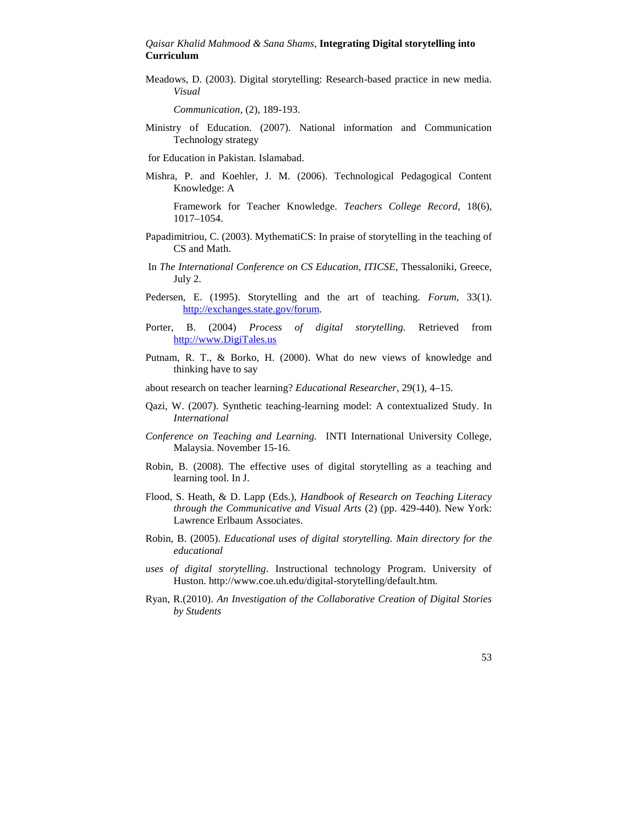Meadows, D. (2003). Digital storytelling: Research-based practice in new media. *Visual*

*Communication*, (2), 189-193.

Ministry of Education. (2007). National information and Communication Technology strategy

for Education in Pakistan. Islamabad.

Mishra, P. and Koehler, J. M. (2006). Technological Pedagogical Content Knowledge: A

Framework for Teacher Knowledge. *Teachers College Record*, 18(6), 1017–1054.

- Papadimitriou, C. (2003). MythematiCS: In praise of storytelling in the teaching of CS and Math.
- In *The International Conference on CS Education, ITICSE*, Thessaloniki, Greece, July 2.
- Pedersen, E. (1995). Storytelling and the art of teaching. *Forum*, 33(1). http://exchanges.state.gov/forum.
- Porter, B. (2004) *Process of digital storytelling.* Retrieved from http://www.DigiTales.us
- Putnam, R. T., & Borko, H. (2000). What do new views of knowledge and thinking have to say
- about research on teacher learning? *Educational Researcher*, 29(1), 4–15.
- Qazi, W. (2007). Synthetic teaching-learning model: A contextualized Study. In *International*
- *Conference on Teaching and Learning.* INTI International University College, Malaysia. November 15-16.
- Robin, B. (2008). The effective uses of digital storytelling as a teaching and learning tool. In J.
- Flood, S. Heath, & D. Lapp (Eds.), *Handbook of Research on Teaching Literacy through the Communicative and Visual Arts* (2) (pp. 429-440). New York: Lawrence Erlbaum Associates.
- Robin, B. (2005). *Educational uses of digital storytelling. Main directory for the educational*
- *uses of digital storytelling*. Instructional technology Program. University of Huston. http://www.coe.uh.edu/digital-storytelling/default.htm.
- Ryan, R.(2010). *An Investigation of the Collaborative Creation of Digital Stories by Students*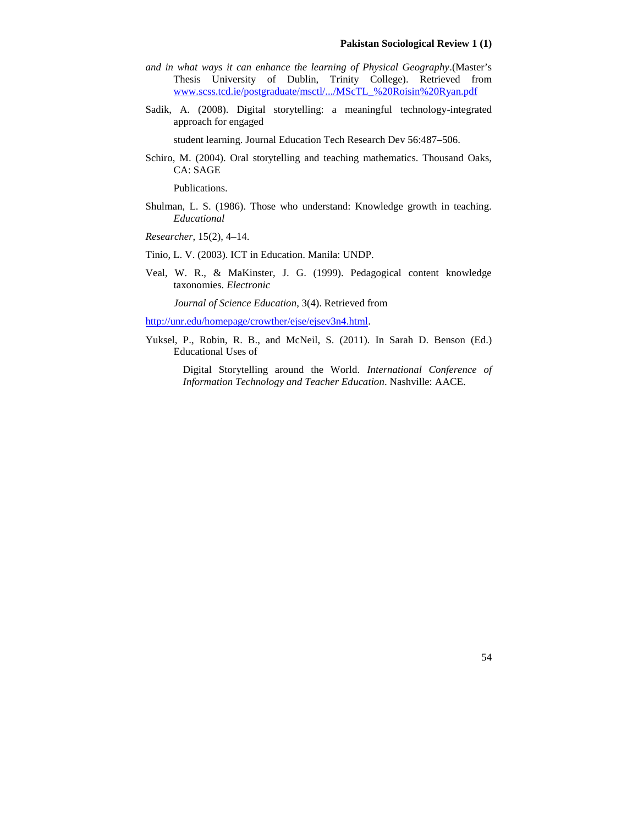- *and in what ways it can enhance the learning of Physical Geography*.(Master's Thesis University of Dublin, Trinity College). Retrieved from www.scss.tcd.ie/postgraduate/msctl/.../MScTL\_%20Roisin%20Ryan.pdf
- Sadik, A. (2008). Digital storytelling: a meaningful technology-integrated approach for engaged

student learning. Journal Education Tech Research Dev 56:487–506.

Schiro, M. (2004). Oral storytelling and teaching mathematics. Thousand Oaks, CA: SAGE

Publications.

Shulman, L. S. (1986). Those who understand: Knowledge growth in teaching. *Educational*

*Researcher*, 15(2), 4–14.

- Tinio, L. V. (2003). ICT in Education. Manila: UNDP.
- Veal, W. R., & MaKinster, J. G. (1999). Pedagogical content knowledge taxonomies. *Electronic*

*Journal of Science Education*, 3(4). Retrieved from

http://unr.edu/homepage/crowther/ejse/ejsev3n4.html.

Yuksel, P., Robin, R. B., and McNeil, S. (2011). In Sarah D. Benson (Ed.) Educational Uses of

> Digital Storytelling around the World. *International Conference of Information Technology and Teacher Education*. Nashville: AACE.